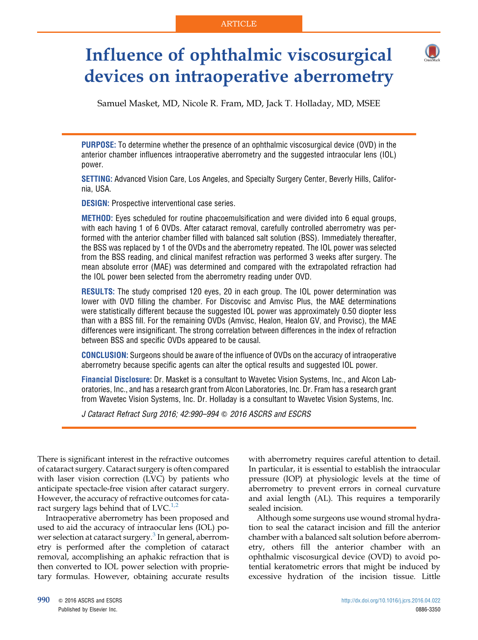# Influence of ophthalmic viscosurgical devices on intraoperative aberrometry

Samuel Masket, MD, Nicole R. Fram, MD, Jack T. Holladay, MD, MSEE

PURPOSE: To determine whether the presence of an ophthalmic viscosurgical device (OVD) in the anterior chamber influences intraoperative aberrometry and the suggested intraocular lens (IOL) power.

SETTING: Advanced Vision Care, Los Angeles, and Specialty Surgery Center, Beverly Hills, California, USA.

DESIGN: Prospective interventional case series.

METHOD: Eyes scheduled for routine phacoemulsification and were divided into 6 equal groups, with each having 1 of 6 OVDs. After cataract removal, carefully controlled aberrometry was performed with the anterior chamber filled with balanced salt solution (BSS). Immediately thereafter, the BSS was replaced by 1 of the OVDs and the aberrometry repeated. The IOL power was selected from the BSS reading, and clinical manifest refraction was performed 3 weeks after surgery. The mean absolute error (MAE) was determined and compared with the extrapolated refraction had the IOL power been selected from the aberrometry reading under OVD.

RESULTS: The study comprised 120 eyes, 20 in each group. The IOL power determination was lower with OVD filling the chamber. For Discovisc and Amvisc Plus, the MAE determinations were statistically different because the suggested IOL power was approximately 0.50 diopter less than with a BSS fill. For the remaining OVDs (Amvisc, Healon, Healon GV, and Provisc), the MAE differences were insignificant. The strong correlation between differences in the index of refraction between BSS and specific OVDs appeared to be causal.

CONCLUSION: Surgeons should be aware of the influence of OVDs on the accuracy of intraoperative aberrometry because specific agents can alter the optical results and suggested IOL power.

Financial Disclosure: Dr. Masket is a consultant to Wavetec Vision Systems, Inc., and Alcon Laboratories, Inc., and has a research grant from Alcon Laboratories, Inc. Dr. Fram has a research grant from Wavetec Vision Systems, Inc. Dr. Holladay is a consultant to Wavetec Vision Systems, Inc.

J Cataract Refract Surg 2016; 42:990-994  $\odot$  2016 ASCRS and ESCRS

There is significant interest in the refractive outcomes of cataract surgery. Cataract surgery is often compared with laser vision correction (LVC) by patients who anticipate spectacle-free vision after cataract surgery. However, the accuracy of refractive outcomes for cataract surgery lags behind that of  $LVC$ .<sup>[1,2](#page-3-0)</sup>

Intraoperative aberrometry has been proposed and used to aid the accuracy of intraocular lens (IOL) power selection at cataract surgery. $3$  In general, aberrometry is performed after the completion of cataract removal, accomplishing an aphakic refraction that is then converted to IOL power selection with proprietary formulas. However, obtaining accurate results with aberrometry requires careful attention to detail. In particular, it is essential to establish the intraocular pressure (IOP) at physiologic levels at the time of aberrometry to prevent errors in corneal curvature and axial length (AL). This requires a temporarily sealed incision.

Although some surgeons use wound stromal hydration to seal the cataract incision and fill the anterior chamber with a balanced salt solution before aberrometry, others fill the anterior chamber with an ophthalmic viscosurgical device (OVD) to avoid potential keratometric errors that might be induced by excessive hydration of the incision tissue. Little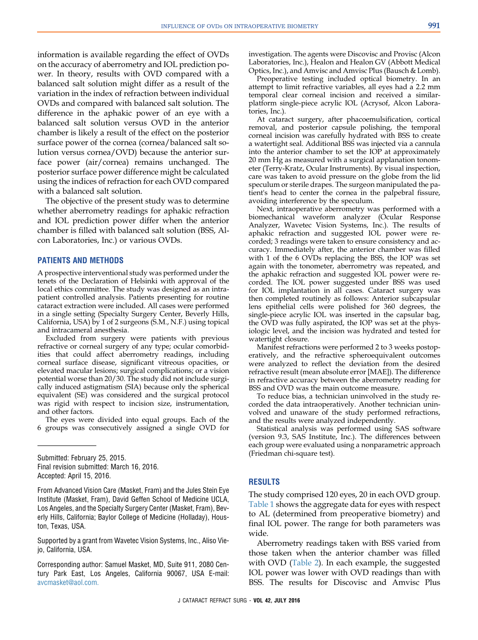information is available regarding the effect of OVDs on the accuracy of aberrometry and IOL prediction power. In theory, results with OVD compared with a balanced salt solution might differ as a result of the variation in the index of refraction between individual OVDs and compared with balanced salt solution. The difference in the aphakic power of an eye with a balanced salt solution versus OVD in the anterior chamber is likely a result of the effect on the posterior surface power of the cornea (cornea/balanced salt solution versus cornea/OVD) because the anterior surface power (air/cornea) remains unchanged. The posterior surface power difference might be calculated using the indices of refraction for each OVD compared with a balanced salt solution.

The objective of the present study was to determine whether aberrometry readings for aphakic refraction and IOL prediction power differ when the anterior chamber is filled with balanced salt solution (BSS, Alcon Laboratories, Inc.) or various OVDs.

#### PATIENTS AND METHODS

A prospective interventional study was performed under the tenets of the Declaration of Helsinki with approval of the local ethics committee. The study was designed as an intrapatient controlled analysis. Patients presenting for routine cataract extraction were included. All cases were performed in a single setting (Specialty Surgery Center, Beverly Hills, California, USA) by 1 of 2 surgeons (S.M., N.F.) using topical and intracameral anesthesia.

Excluded from surgery were patients with previous refractive or corneal surgery of any type; ocular comorbidities that could affect aberrometry readings, including corneal surface disease, significant vitreous opacities, or elevated macular lesions; surgical complications; or a vision potential worse than 20/30. The study did not include surgically induced astigmatism (SIA) because only the spherical equivalent (SE) was considered and the surgical protocol was rigid with respect to incision size, instrumentation, and other factors.

The eyes were divided into equal groups. Each of the 6 groups was consecutively assigned a single OVD for

Supported by a grant from Wavetec Vision Systems, Inc., Aliso Viejo, California, USA.

Corresponding author: Samuel Masket, MD, Suite 911, 2080 Century Park East, Los Angeles, California 90067, USA E-mail: [avcmasket@aol.com.](mailto:avcmasket@aol.com)

investigation. The agents were Discovisc and Provisc (Alcon Laboratories, Inc.), Healon and Healon GV (Abbott Medical Optics, Inc.), and Amvisc and Amvisc Plus (Bausch & Lomb).

Preoperative testing included optical biometry. In an attempt to limit refractive variables, all eyes had a 2.2 mm temporal clear corneal incision and received a similarplatform single-piece acrylic IOL (Acrysof, Alcon Laboratories, Inc.).

At cataract surgery, after phacoemulsification, cortical removal, and posterior capsule polishing, the temporal corneal incision was carefully hydrated with BSS to create a watertight seal. Additional BSS was injected via a cannula into the anterior chamber to set the IOP at approximately 20 mm Hg as measured with a surgical applanation tonometer (Terry-Kratz, Ocular Instruments). By visual inspection, care was taken to avoid pressure on the globe from the lid speculum or sterile drapes. The surgeon manipulated the patient's head to center the cornea in the palpebral fissure, avoiding interference by the speculum.

Next, intraoperative aberrometry was performed with a biomechanical waveform analyzer (Ocular Response Analyzer, Wavetec Vision Systems, Inc.). The results of aphakic refraction and suggested IOL power were recorded; 3 readings were taken to ensure consistency and accuracy. Immediately after, the anterior chamber was filled with 1 of the 6 OVDs replacing the BSS, the IOP was set again with the tonometer, aberrometry was repeated, and the aphakic refraction and suggested IOL power were recorded. The IOL power suggested under BSS was used for IOL implantation in all cases. Cataract surgery was then completed routinely as follows: Anterior subcapsular lens epithelial cells were polished for 360 degrees, the single-piece acrylic IOL was inserted in the capsular bag, the OVD was fully aspirated, the IOP was set at the physiologic level, and the incision was hydrated and tested for watertight closure.

Manifest refractions were performed 2 to 3 weeks postoperatively, and the refractive spheroequivalent outcomes were analyzed to reflect the deviation from the desired refractive result (mean absolute error [MAE]). The difference in refractive accuracy between the aberrometry reading for BSS and OVD was the main outcome measure.

To reduce bias, a technician uninvolved in the study recorded the data intraoperatively. Another technician uninvolved and unaware of the study performed refractions, and the results were analyzed independently.

Statistical analysis was performed using SAS software (version 9.3, SAS Institute, Inc.). The differences between each group were evaluated using a nonparametric approach (Friedman chi-square test).

#### RESULTS

The study comprised 120 eyes, 20 in each OVD group. [Table 1](#page-2-0) shows the aggregate data for eyes with respect to AL (determined from preoperative biometry) and final IOL power. The range for both parameters was wide.

Aberrometry readings taken with BSS varied from those taken when the anterior chamber was filled with OVD [\(Table 2\)](#page-2-0). In each example, the suggested IOL power was lower with OVD readings than with BSS. The results for Discovisc and Amvisc Plus

Submitted: February 25, 2015. Final revision submitted: March 16, 2016. Accepted: April 15, 2016.

From Advanced Vision Care (Masket, Fram) and the Jules Stein Eye Institute (Masket, Fram), David Geffen School of Medicine UCLA, Los Angeles, and the Specialty Surgery Center (Masket, Fram), Beverly Hills, California; Baylor College of Medicine (Holladay), Houston, Texas, USA.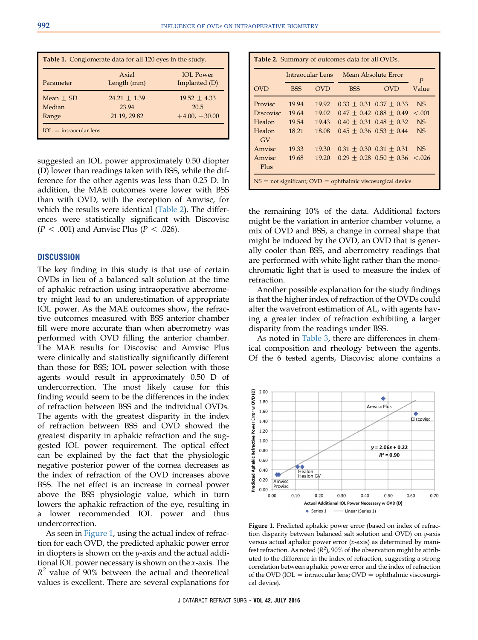<span id="page-2-0"></span>

| <b>Table 1.</b> Conglomerate data for all 120 eyes in the study. |                                           |                                             |  |  |  |  |
|------------------------------------------------------------------|-------------------------------------------|---------------------------------------------|--|--|--|--|
| Parameter                                                        | Axial<br>Length (mm)                      | <b>IOL</b> Power<br>Implanted (D)           |  |  |  |  |
| Mean $\pm$ SD<br>Median<br>Range                                 | $24.21 \pm 1.39$<br>23.94<br>21.19, 29.82 | $19.52 \pm 4.33$<br>20.5<br>$+4.00, +30.00$ |  |  |  |  |
| $IOL = intraccular lens$                                         |                                           |                                             |  |  |  |  |

suggested an IOL power approximately 0.50 diopter (D) lower than readings taken with BSS, while the difference for the other agents was less than 0.25 D. In addition, the MAE outcomes were lower with BSS than with OVD, with the exception of Amvisc, for which the results were identical (Table 2). The differences were statistically significant with Discovisc  $(P < .001)$  and Amvisc Plus  $(P < .026)$ .

# **DISCUSSION**

The key finding in this study is that use of certain OVDs in lieu of a balanced salt solution at the time of aphakic refraction using intraoperative aberrometry might lead to an underestimation of appropriate IOL power. As the MAE outcomes show, the refractive outcomes measured with BSS anterior chamber fill were more accurate than when aberrometry was performed with OVD filling the anterior chamber. The MAE results for Discovisc and Amvisc Plus were clinically and statistically significantly different than those for BSS; IOL power selection with those agents would result in approximately 0.50 D of undercorrection. The most likely cause for this finding would seem to be the differences in the index of refraction between BSS and the individual OVDs. The agents with the greatest disparity in the index of refraction between BSS and OVD showed the greatest disparity in aphakic refraction and the suggested IOL power requirement. The optical effect can be explained by the fact that the physiologic negative posterior power of the cornea decreases as the index of refraction of the OVD increases above BSS. The net effect is an increase in corneal power above the BSS physiologic value, which in turn lowers the aphakic refraction of the eye, resulting in a lower recommended IOL power and thus undercorrection.

As seen in Figure 1, using the actual index of refraction for each OVD, the predicted aphakic power error in diopters is shown on the y-axis and the actual additional IOL power necessary is shown on the x-axis. The  $R^2$  value of 90% between the actual and theoretical values is excellent. There are several explanations for

|                  | Intraocular Lens |            | Mean Absolute Error             |                                        | $\boldsymbol{P}$ |
|------------------|------------------|------------|---------------------------------|----------------------------------------|------------------|
| <b>OVD</b>       | <b>BSS</b>       | <b>OVD</b> | <b>BSS</b>                      | OVD                                    | Value            |
| Provisc          | 19.94            | 19.92      | $0.33 \pm 0.31$ $0.37 \pm 0.33$ |                                        | <b>NS</b>        |
| <b>Discovisc</b> | 19.64            | 19.02      |                                 | $0.47 + 0.42$ $0.88 + 0.49$            | $-.001$          |
| Healon           | 19.54            | 19.43      |                                 | $0.40 + 0.31$ $0.48 + 0.32$            | <b>NS</b>        |
| Healon           | 18.21            | 18.08      |                                 | $0.45 + 0.36$ $0.53 + 0.44$            | <b>NS</b>        |
| <b>GV</b>        |                  |            |                                 |                                        |                  |
| Amvisc           | 19.33            | 19.30      | $0.31 + 0.30 + 0.31 + 0.31$     |                                        | N <sub>S</sub>   |
| Amvisc           | 19.68            | 19.20      |                                 | $0.29 \pm 0.28$ $0.50 \pm 0.36$ < 0.26 |                  |
| Plus             |                  |            |                                 |                                        |                  |

the remaining 10% of the data. Additional factors might be the variation in anterior chamber volume, a mix of OVD and BSS, a change in corneal shape that might be induced by the OVD, an OVD that is generally cooler than BSS, and aberrometry readings that are performed with white light rather than the monochromatic light that is used to measure the index of refraction.

Another possible explanation for the study findings is that the higher index of refraction of the OVDs could alter the wavefront estimation of AL, with agents having a greater index of refraction exhibiting a larger disparity from the readings under BSS.

As noted in [Table 3,](#page-3-0) there are differences in chemical composition and rheology between the agents. Of the 6 tested agents, Discovisc alone contains a



Figure 1. Predicted aphakic power error (based on index of refraction disparity between balanced salt solution and OVD) on y-axis versus actual aphakic power error  $(x$ -axis) as determined by manifest refraction. As noted  $(R^2)$ , 90% of the observation might be attributed to the difference in the index of refraction, suggesting a strong correlation between aphakic power error and the index of refraction of the OVD (IOL  $=$  intraocular lens; OVD  $=$  ophthalmic viscosurgical device).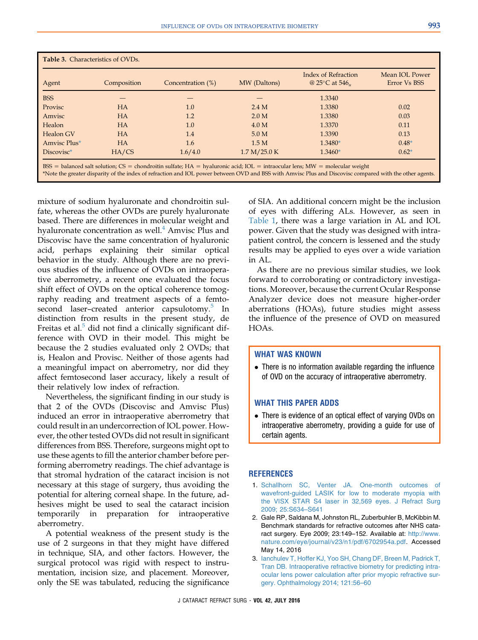<span id="page-3-0"></span>

| <b>Table 3.</b> Characteristics of OVDs. |             |                   |              |                                                              |                                       |  |  |  |
|------------------------------------------|-------------|-------------------|--------------|--------------------------------------------------------------|---------------------------------------|--|--|--|
| Agent                                    | Composition | Concentration (%) | MW (Daltons) | Index of Refraction<br>@ 25 $^{\circ}$ C at 546 <sub>u</sub> | Mean <b>IOL</b> Power<br>Error Vs BSS |  |  |  |
| <b>BSS</b>                               |             |                   |              | 1.3340                                                       |                                       |  |  |  |
| Provisc                                  | HA          | 1.0               | 2.4M         | 1.3380                                                       | 0.02                                  |  |  |  |
| Amvisc                                   | HA          | 1.2               | 2.0 M        | 1.3380                                                       | 0.03                                  |  |  |  |
| Healon                                   | HA          | 1.0               | 4.0 M        | 1.3370                                                       | 0.11                                  |  |  |  |
| <b>Healon GV</b>                         | HA          | 1.4               | 5.0 M        | 1.3390                                                       | 0.13                                  |  |  |  |
| Amvisc Plus*                             | HA          | 1.6               | 1.5M         | $1.3480*$                                                    | $0.48*$                               |  |  |  |
| $Discovisc*$                             | HA/CS       | 1.6/4.0           | 1.7 M/25.0 K | $1.3460*$                                                    | $0.62*$                               |  |  |  |

 $BSS =$  balanced salt solution;  $CS =$  chondroitin sulfate;  $HA =$  hyaluronic acid;  $IOL =$  intraocular lens;  $MW =$  molecular weight

\*Note the greater disparity of the index of refraction and IOL power between OVD and BSS with Amvisc Plus and Discovisc compared with the other agents.

mixture of sodium hyaluronate and chondroitin sulfate, whereas the other OVDs are purely hyaluronate based. There are differences in molecular weight and hyaluronate concentration as well.<sup>[4](#page-4-0)</sup> Amvisc Plus and Discovisc have the same concentration of hyaluronic acid, perhaps explaining their similar optical behavior in the study. Although there are no previous studies of the influence of OVDs on intraoperative aberrometry, a recent one evaluated the focus shift effect of OVDs on the optical coherence tomography reading and treatment aspects of a femto-second laser–created anterior capsulotomy.<sup>[5](#page-4-0)</sup> In distinction from results in the present study, de Freitas et al. $5$  did not find a clinically significant difference with OVD in their model. This might be because the 2 studies evaluated only 2 OVDs; that is, Healon and Provisc. Neither of those agents had a meaningful impact on aberrometry, nor did they affect femtosecond laser accuracy, likely a result of their relatively low index of refraction.

Nevertheless, the significant finding in our study is that 2 of the OVDs (Discovisc and Amvisc Plus) induced an error in intraoperative aberrometry that could result in an undercorrection of IOL power. However, the other tested OVDs did not result in significant differences from BSS. Therefore, surgeons might opt to use these agents to fill the anterior chamber before performing aberrometry readings. The chief advantage is that stromal hydration of the cataract incision is not necessary at this stage of surgery, thus avoiding the potential for altering corneal shape. In the future, adhesives might be used to seal the cataract incision temporarily in preparation for intraoperative aberrometry.

A potential weakness of the present study is the use of 2 surgeons in that they might have differed in technique, SIA, and other factors. However, the surgical protocol was rigid with respect to instrumentation, incision size, and placement. Moreover, only the SE was tabulated, reducing the significance

of SIA. An additional concern might be the inclusion of eyes with differing ALs. However, as seen in [Table 1,](#page-2-0) there was a large variation in AL and IOL power. Given that the study was designed with intrapatient control, the concern is lessened and the study results may be applied to eyes over a wide variation in AL.

As there are no previous similar studies, we look forward to corroborating or contradictory investigations. Moreover, because the current Ocular Response Analyzer device does not measure higher-order aberrations (HOAs), future studies might assess the influence of the presence of OVD on measured HOAs.

# WHAT WAS KNOWN

 There is no information available regarding the influence of OVD on the accuracy of intraoperative aberrometry.

# WHAT THIS PAPER ADDS

 There is evidence of an optical effect of varying OVDs on intraoperative aberrometry, providing a guide for use of certain agents.

### **REFERENCES**

- 1. [Schallhorn SC, Venter JA. One-month outcomes of](http://refhub.elsevier.com/S0886-3350(16)30180-8/sref1) [wavefront-guided LASIK for low to moderate myopia with](http://refhub.elsevier.com/S0886-3350(16)30180-8/sref1) [the VISX STAR S4 laser in 32,569 eyes. J Refract Surg](http://refhub.elsevier.com/S0886-3350(16)30180-8/sref1) [2009; 25:S634–S641](http://refhub.elsevier.com/S0886-3350(16)30180-8/sref1)
- 2. Gale RP, Saldana M, Johnston RL, Zuberbuhler B, McKibbin M. Benchmark standards for refractive outcomes after NHS cataract surgery. Eye 2009; 23:149–152. Available at: [http://www.](http://www.nature.com/eye/journal/v23/n1/pdf/6702954a.pdf) [nature.com/eye/journal/v23/n1/pdf/6702954a.pdf.](http://www.nature.com/eye/journal/v23/n1/pdf/6702954a.pdf) Accessed May 14, 2016
- 3. [Ianchulev T, Hoffer KJ, Yoo SH, Chang DF, Breen M, Padrick T,](http://refhub.elsevier.com/S0886-3350(16)30180-8/sref3) [Tran DB. Intraoperative refractive biometry for predicting intra](http://refhub.elsevier.com/S0886-3350(16)30180-8/sref3)[ocular lens power calculation after prior myopic refractive sur](http://refhub.elsevier.com/S0886-3350(16)30180-8/sref3)[gery. Ophthalmology 2014; 121:56–60](http://refhub.elsevier.com/S0886-3350(16)30180-8/sref3)